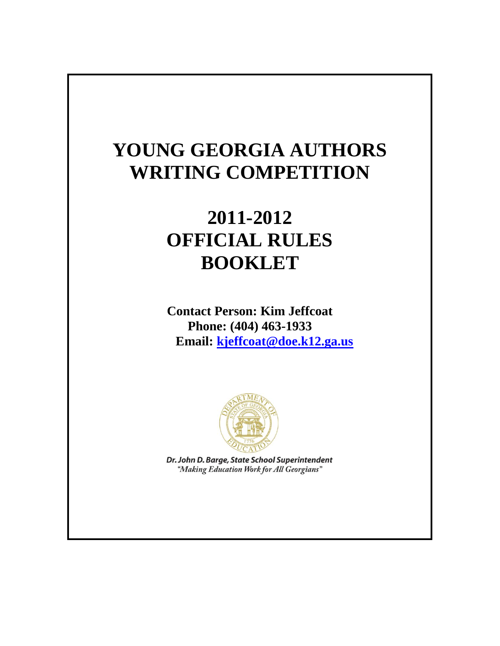## **YOUNG GEORGIA AUTHORS WRITING COMPETITION**

# **2011-2012 OFFICIAL RULES BOOKLET**

**Contact Person: Kim Jeffcoat Phone: (404) 463-1933 Email: [kjeffcoat@doe.k12.ga.us](mailto:kjeffcoat@doe.k12.ga.us)**



Dr. John D. Barge, State School Superintendent "Making Education Work for All Georgians"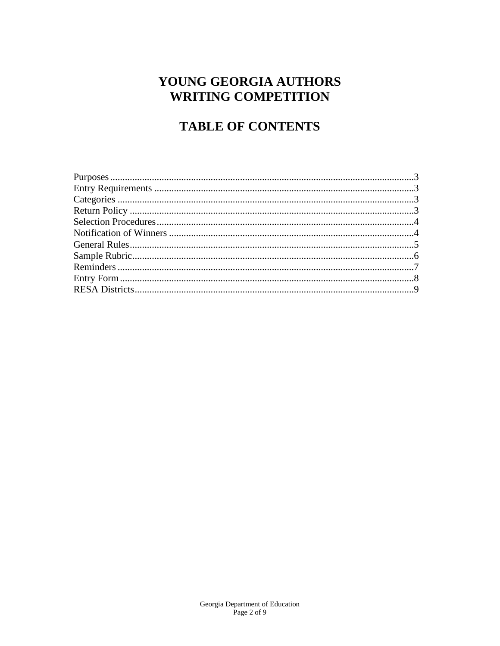### YOUNG GEORGIA AUTHORS **WRITING COMPETITION**

## **TABLE OF CONTENTS**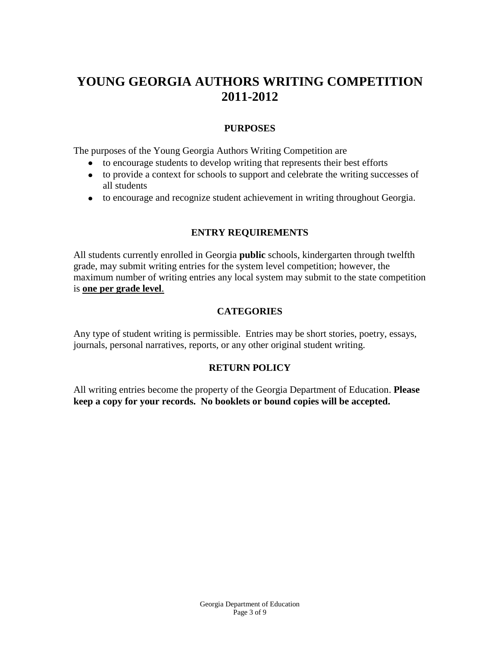### **YOUNG GEORGIA AUTHORS WRITING COMPETITION 2011-2012**

#### **PURPOSES**

The purposes of the Young Georgia Authors Writing Competition are

- to encourage students to develop writing that represents their best efforts
- to provide a context for schools to support and celebrate the writing successes of all students
- to encourage and recognize student achievement in writing throughout Georgia.

#### **ENTRY REQUIREMENTS**

All students currently enrolled in Georgia **public** schools, kindergarten through twelfth grade, may submit writing entries for the system level competition; however, the maximum number of writing entries any local system may submit to the state competition is **one per grade level**.

#### **CATEGORIES**

Any type of student writing is permissible. Entries may be short stories, poetry, essays, journals, personal narratives, reports, or any other original student writing.

#### **RETURN POLICY**

All writing entries become the property of the Georgia Department of Education. **Please keep a copy for your records. No booklets or bound copies will be accepted.**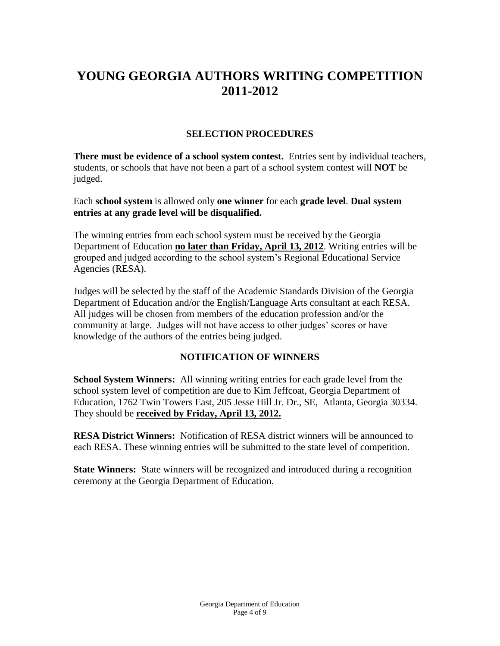### **YOUNG GEORGIA AUTHORS WRITING COMPETITION 2011-2012**

#### **SELECTION PROCEDURES**

**There must be evidence of a school system contest.** Entries sent by individual teachers, students, or schools that have not been a part of a school system contest will **NOT** be judged.

Each **school system** is allowed only **one winner** for each **grade level**. **Dual system entries at any grade level will be disqualified.**

The winning entries from each school system must be received by the Georgia Department of Education **no later than Friday, April 13, 2012**. Writing entries will be grouped and judged according to the school system's Regional Educational Service Agencies (RESA).

Judges will be selected by the staff of the Academic Standards Division of the Georgia Department of Education and/or the English/Language Arts consultant at each RESA. All judges will be chosen from members of the education profession and/or the community at large. Judges will not have access to other judges' scores or have knowledge of the authors of the entries being judged.

#### **NOTIFICATION OF WINNERS**

**School System Winners:** All winning writing entries for each grade level from the school system level of competition are due to Kim Jeffcoat, Georgia Department of Education, 1762 Twin Towers East, 205 Jesse Hill Jr. Dr., SE, Atlanta, Georgia 30334. They should be **received by Friday, April 13, 2012.**

**RESA District Winners:** Notification of RESA district winners will be announced to each RESA. These winning entries will be submitted to the state level of competition.

**State Winners:** State winners will be recognized and introduced during a recognition ceremony at the Georgia Department of Education.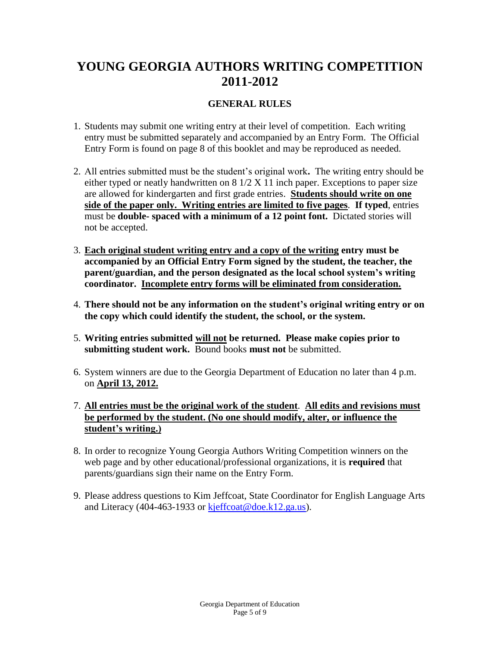### **YOUNG GEORGIA AUTHORS WRITING COMPETITION 2011-2012**

### **GENERAL RULES**

- 1. Students may submit one writing entry at their level of competition. Each writing entry must be submitted separately and accompanied by an Entry Form. The Official Entry Form is found on page 8 of this booklet and may be reproduced as needed.
- 2. All entries submitted must be the student's original work**.** The writing entry should be either typed or neatly handwritten on 8 1/2 X 11 inch paper. Exceptions to paper size are allowed for kindergarten and first grade entries. **Students should write on one side of the paper only. Writing entries are limited to five pages**. **If typed**, entries must be **double- spaced with a minimum of a 12 point font.** Dictated stories will not be accepted.
- 3. **Each original student writing entry and a copy of the writing entry must be accompanied by an Official Entry Form signed by the student, the teacher, the parent/guardian, and the person designated as the local school system's writing coordinator. Incomplete entry forms will be eliminated from consideration.**
- 4. **There should not be any information on the student's original writing entry or on the copy which could identify the student, the school, or the system.**
- 5. **Writing entries submitted will not be returned. Please make copies prior to submitting student work.** Bound books **must not** be submitted.
- 6. System winners are due to the Georgia Department of Education no later than 4 p.m. on **April 13, 2012.**
- 7. **All entries must be the original work of the student**. **All edits and revisions must be performed by the student. (No one should modify, alter, or influence the student's writing.)**
- 8. In order to recognize Young Georgia Authors Writing Competition winners on the web page and by other educational/professional organizations, it is **required** that parents/guardians sign their name on the Entry Form.
- 9. Please address questions to Kim Jeffcoat, State Coordinator for English Language Arts and Literacy (404-463-1933 or [kjeffcoat@doe.k12.ga.us\)](mailto:kjeffcoat@doe.k12.ga.us).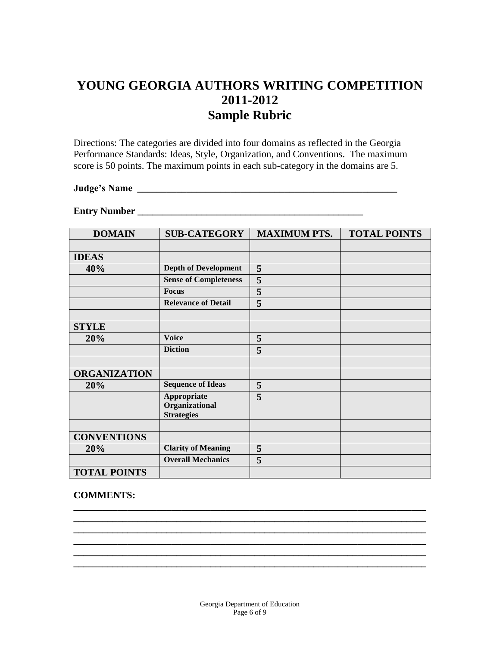### **YOUNG GEORGIA AUTHORS WRITING COMPETITION 2011-2012 Sample Rubric**

Directions: The categories are divided into four domains as reflected in the Georgia Performance Standards: Ideas, Style, Organization, and Conventions. The maximum score is 50 points. The maximum points in each sub-category in the domains are 5.

#### **Judge's Name \_\_\_\_\_\_\_\_\_\_\_\_\_\_\_\_\_\_\_\_\_\_\_\_\_\_\_\_\_\_\_\_\_\_\_\_\_\_\_\_\_\_\_\_\_\_\_\_\_\_\_\_\_**

### **Entry Number \_\_\_\_\_\_\_\_\_\_\_\_\_\_\_\_\_\_\_\_\_\_\_\_\_\_\_\_\_\_\_\_\_\_\_\_\_\_\_\_\_\_\_\_\_\_**

| <b>DOMAIN</b>       | <b>SUB-CATEGORY</b>                 | <b>MAXIMUM PTS.</b> | <b>TOTAL POINTS</b> |
|---------------------|-------------------------------------|---------------------|---------------------|
|                     |                                     |                     |                     |
| <b>IDEAS</b>        |                                     |                     |                     |
| 40%                 | <b>Depth of Development</b>         | 5                   |                     |
|                     | <b>Sense of Completeness</b>        | 5                   |                     |
|                     | <b>Focus</b>                        | 5                   |                     |
|                     | <b>Relevance of Detail</b>          | 5                   |                     |
|                     |                                     |                     |                     |
| <b>STYLE</b>        |                                     |                     |                     |
| 20%                 | <b>Voice</b>                        | 5                   |                     |
|                     | <b>Diction</b>                      | 5                   |                     |
|                     |                                     |                     |                     |
| <b>ORGANIZATION</b> |                                     |                     |                     |
| 20%                 | <b>Sequence of Ideas</b>            | 5                   |                     |
|                     | Appropriate                         | 5                   |                     |
|                     | Organizational<br><b>Strategies</b> |                     |                     |
|                     |                                     |                     |                     |
| <b>CONVENTIONS</b>  |                                     |                     |                     |
| 20%                 | <b>Clarity of Meaning</b>           | 5                   |                     |
|                     | <b>Overall Mechanics</b>            | 5                   |                     |
| <b>TOTAL POINTS</b> |                                     |                     |                     |

#### **COMMENTS:**

**\_\_\_\_\_\_\_\_\_\_\_\_\_\_\_\_\_\_\_\_\_\_\_\_\_\_\_\_\_\_\_\_\_\_\_\_\_\_\_\_\_\_\_\_\_\_\_\_\_\_\_\_\_\_\_\_\_\_\_\_\_\_\_\_\_\_\_\_\_\_\_\_**

**\_\_\_\_\_\_\_\_\_\_\_\_\_\_\_\_\_\_\_\_\_\_\_\_\_\_\_\_\_\_\_\_\_\_\_\_\_\_\_\_\_\_\_\_\_\_\_\_\_\_\_\_\_\_\_\_\_\_\_\_\_\_\_\_\_\_\_\_\_\_\_\_ \_\_\_\_\_\_\_\_\_\_\_\_\_\_\_\_\_\_\_\_\_\_\_\_\_\_\_\_\_\_\_\_\_\_\_\_\_\_\_\_\_\_\_\_\_\_\_\_\_\_\_\_\_\_\_\_\_\_\_\_\_\_\_\_\_\_\_\_\_\_\_\_**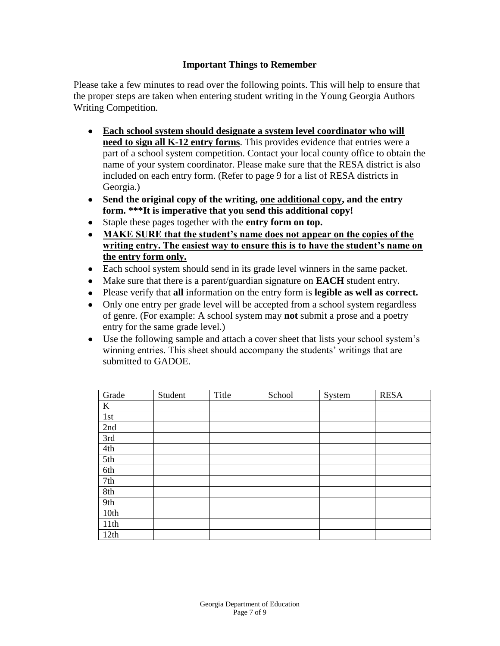#### **Important Things to Remember**

Please take a few minutes to read over the following points. This will help to ensure that the proper steps are taken when entering student writing in the Young Georgia Authors Writing Competition.

- **Each school system should designate a system level coordinator who will need to sign all K-12 entry forms**. This provides evidence that entries were a part of a school system competition. Contact your local county office to obtain the name of your system coordinator. Please make sure that the RESA district is also included on each entry form. (Refer to page 9 for a list of RESA districts in Georgia.)
- **Send the original copy of the writing, one additional copy, and the entry form. \*\*\*It is imperative that you send this additional copy!**
- Staple these pages together with the **entry form on top.**
- **MAKE SURE that the student's name does not appear on the copies of the writing entry. The easiest way to ensure this is to have the student's name on the entry form only.**
- Each school system should send in its grade level winners in the same packet.
- Make sure that there is a parent/guardian signature on **EACH** student entry.
- Please verify that **all** information on the entry form is **legible as well as correct.**
- Only one entry per grade level will be accepted from a school system regardless of genre. (For example: A school system may **not** submit a prose and a poetry entry for the same grade level.)
- Use the following sample and attach a cover sheet that lists your school system's winning entries. This sheet should accompany the students' writings that are submitted to GADOE.

| Grade | Student | Title | School | System | <b>RESA</b> |
|-------|---------|-------|--------|--------|-------------|
| K     |         |       |        |        |             |
| 1st   |         |       |        |        |             |
| 2nd   |         |       |        |        |             |
| 3rd   |         |       |        |        |             |
| 4th   |         |       |        |        |             |
| 5th   |         |       |        |        |             |
| 6th   |         |       |        |        |             |
| 7th   |         |       |        |        |             |
| 8th   |         |       |        |        |             |
| 9th   |         |       |        |        |             |
| 10th  |         |       |        |        |             |
| 11th  |         |       |        |        |             |
| 12th  |         |       |        |        |             |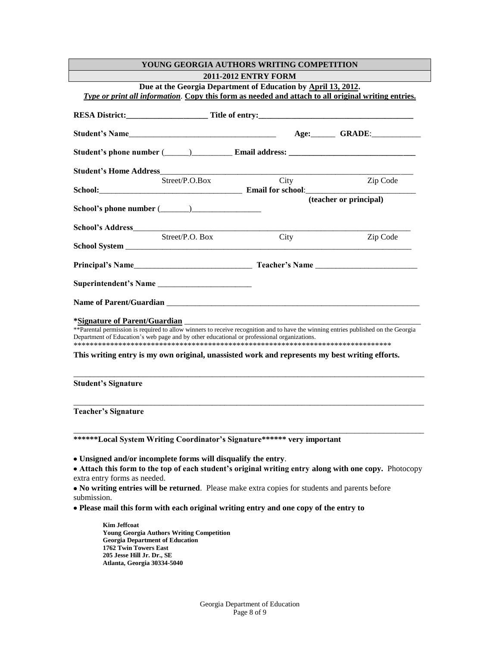| YOUNG GEORGIA AUTHORS WRITING COMPETITION                                                                                                                                                                                                                          |      |                        |  |  |  |  |
|--------------------------------------------------------------------------------------------------------------------------------------------------------------------------------------------------------------------------------------------------------------------|------|------------------------|--|--|--|--|
| <b>2011-2012 ENTRY FORM</b>                                                                                                                                                                                                                                        |      |                        |  |  |  |  |
| Due at the Georgia Department of Education by April 13, 2012.<br>Type or print all information. Copy this form as needed and attach to all original writing entries.                                                                                               |      |                        |  |  |  |  |
|                                                                                                                                                                                                                                                                    |      |                        |  |  |  |  |
|                                                                                                                                                                                                                                                                    |      |                        |  |  |  |  |
|                                                                                                                                                                                                                                                                    |      |                        |  |  |  |  |
|                                                                                                                                                                                                                                                                    |      |                        |  |  |  |  |
| Street/P.O.Box                                                                                                                                                                                                                                                     | City | Zip Code               |  |  |  |  |
|                                                                                                                                                                                                                                                                    |      | (teacher or principal) |  |  |  |  |
| School's phone number $(\_\_)$                                                                                                                                                                                                                                     |      |                        |  |  |  |  |
|                                                                                                                                                                                                                                                                    |      |                        |  |  |  |  |
| Street/P.O. Box                                                                                                                                                                                                                                                    | City | Zip Code               |  |  |  |  |
|                                                                                                                                                                                                                                                                    |      |                        |  |  |  |  |
|                                                                                                                                                                                                                                                                    |      |                        |  |  |  |  |
|                                                                                                                                                                                                                                                                    |      |                        |  |  |  |  |
|                                                                                                                                                                                                                                                                    |      |                        |  |  |  |  |
| *Signature of Parent/Guardian<br>** Parental permission is required to allow winners to receive recognition and to have the winning entries published on the Georgia<br>Department of Education's web page and by other educational or professional organizations. |      |                        |  |  |  |  |
| This writing entry is my own original, unassisted work and represents my best writing efforts.                                                                                                                                                                     |      |                        |  |  |  |  |
| <b>Student's Signature</b>                                                                                                                                                                                                                                         |      |                        |  |  |  |  |
| <b>Teacher's Signature</b>                                                                                                                                                                                                                                         |      |                        |  |  |  |  |
| ******Local System Writing Coordinator's Signature****** very important                                                                                                                                                                                            |      |                        |  |  |  |  |
| • Unsigned and/or incomplete forms will disqualify the entry.<br>• Attach this form to the top of each student's original writing entry along with one copy. Photocopy<br>extra entry forms as needed.                                                             |      |                        |  |  |  |  |
| • No writing entries will be returned. Please make extra copies for students and parents before<br>submission.                                                                                                                                                     |      |                        |  |  |  |  |
| • Please mail this form with each original writing entry and one copy of the entry to                                                                                                                                                                              |      |                        |  |  |  |  |
| <b>Kim Jeffcoat</b><br><b>Young Georgia Authors Writing Competition</b>                                                                                                                                                                                            |      |                        |  |  |  |  |

**Young Georgia Authors Writing Competition Georgia Department of Education 1762 Twin Towers East 205 Jesse Hill Jr. Dr., SE Atlanta, Georgia 30334-5040**